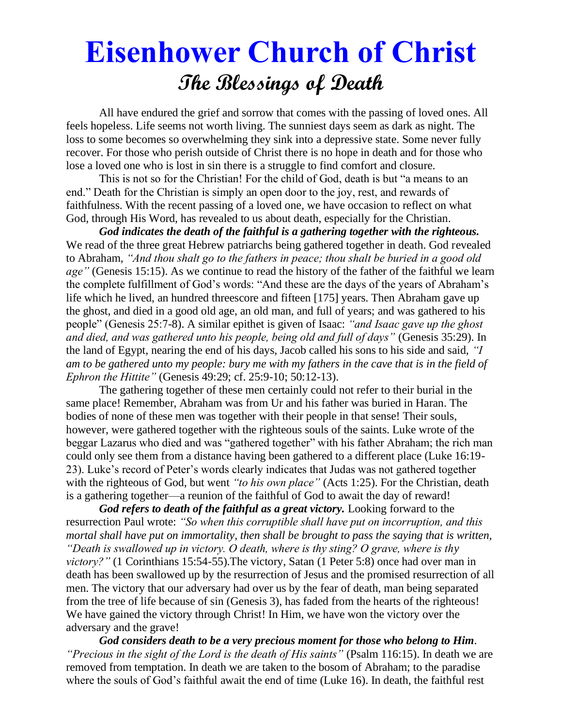# **Eisenhower Church of Christ The Blessings of Death**

 All have endured the grief and sorrow that comes with the passing of loved ones. All feels hopeless. Life seems not worth living. The sunniest days seem as dark as night. The loss to some becomes so overwhelming they sink into a depressive state. Some never fully recover. For those who perish outside of Christ there is no hope in death and for those who lose a loved one who is lost in sin there is a struggle to find comfort and closure.

This is not so for the Christian! For the child of God, death is but "a means to an end." Death for the Christian is simply an open door to the joy, rest, and rewards of faithfulness. With the recent passing of a loved one, we have occasion to reflect on what God, through His Word, has revealed to us about death, especially for the Christian.

*God indicates the death of the faithful is a gathering together with the righteous.*  We read of the three great Hebrew patriarchs being gathered together in death. God revealed to Abraham, *"And thou shalt go to the fathers in peace; thou shalt be buried in a good old age*" (Genesis 15:15). As we continue to read the history of the father of the faithful we learn the complete fulfillment of God's words: "And these are the days of the years of Abraham's life which he lived, an hundred threescore and fifteen [175] years. Then Abraham gave up the ghost, and died in a good old age, an old man, and full of years; and was gathered to his people" (Genesis 25:7-8). A similar epithet is given of Isaac: *"and Isaac gave up the ghost and died, and was gathered unto his people, being old and full of days"* (Genesis 35:29). In the land of Egypt, nearing the end of his days, Jacob called his sons to his side and said, *"I am to be gathered unto my people: bury me with my fathers in the cave that is in the field of Ephron the Hittite"* (Genesis 49:29; cf. 25:9-10; 50:12-13).

The gathering together of these men certainly could not refer to their burial in the same place! Remember, Abraham was from Ur and his father was buried in Haran. The bodies of none of these men was together with their people in that sense! Their souls, however, were gathered together with the righteous souls of the saints. Luke wrote of the beggar Lazarus who died and was "gathered together" with his father Abraham; the rich man could only see them from a distance having been gathered to a different place (Luke 16:19- 23). Luke's record of Peter's words clearly indicates that Judas was not gathered together with the righteous of God, but went *"to his own place"* (Acts 1:25). For the Christian, death is a gathering together—a reunion of the faithful of God to await the day of reward!

God refers to death of the faithful as a great victory. Looking forward to the resurrection Paul wrote: *"So when this corruptible shall have put on incorruption, and this mortal shall have put on immortality, then shall be brought to pass the saying that is written, "Death is swallowed up in victory. O death, where is thy sting? O grave, where is thy victory?"* (1 Corinthians 15:54-55). The victory, Satan (1 Peter 5:8) once had over man in death has been swallowed up by the resurrection of Jesus and the promised resurrection of all men. The victory that our adversary had over us by the fear of death, man being separated from the tree of life because of sin (Genesis 3), has faded from the hearts of the righteous! We have gained the victory through Christ! In Him, we have won the victory over the adversary and the grave!

*God considers death to be a very precious moment for those who belong to Him*. *"Precious in the sight of the Lord is the death of His saints"* (Psalm 116:15). In death we are removed from temptation. In death we are taken to the bosom of Abraham; to the paradise where the souls of God's faithful await the end of time (Luke 16). In death, the faithful rest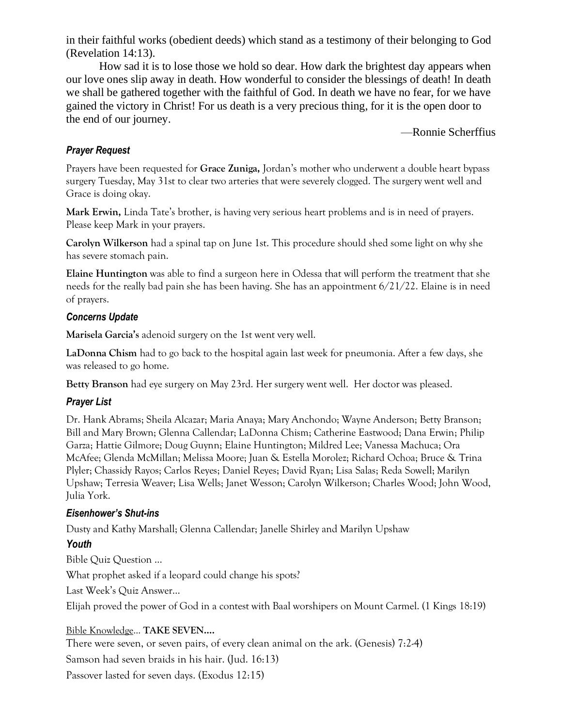in their faithful works (obedient deeds) which stand as a testimony of their belonging to God (Revelation 14:13).

How sad it is to lose those we hold so dear. How dark the brightest day appears when our love ones slip away in death. How wonderful to consider the blessings of death! In death we shall be gathered together with the faithful of God. In death we have no fear, for we have gained the victory in Christ! For us death is a very precious thing, for it is the open door to the end of our journey.

—Ronnie Scherffius

#### *Prayer Request*

Prayers have been requested for **Grace Zuniga,** Jordan's mother who underwent a double heart bypass surgery Tuesday, May 31st to clear two arteries that were severely clogged. The surgery went well and Grace is doing okay.

**Mark Erwin,** Linda Tate's brother, is having very serious heart problems and is in need of prayers. Please keep Mark in your prayers.

**Carolyn Wilkerson** had a spinal tap on June 1st. This procedure should shed some light on why she has severe stomach pain.

**Elaine Huntington** was able to find a surgeon here in Odessa that will perform the treatment that she needs for the really bad pain she has been having. She has an appointment 6/21/22. Elaine is in need of prayers.

#### *Concerns Update*

**Marisela Garcia's** adenoid surgery on the 1st went very well.

**LaDonna Chism** had to go back to the hospital again last week for pneumonia. After a few days, she was released to go home.

**Betty Branson** had eye surgery on May 23rd. Her surgery went well. Her doctor was pleased.

#### *Prayer List*

Dr. Hank Abrams; Sheila Alcazar; Maria Anaya; Mary Anchondo; Wayne Anderson; Betty Branson; Bill and Mary Brown; Glenna Callendar; LaDonna Chism; Catherine Eastwood; Dana Erwin; Philip Garza; Hattie Gilmore; Doug Guynn; Elaine Huntington; Mildred Lee; Vanessa Machuca; Ora McAfee; Glenda McMillan; Melissa Moore; Juan & Estella Morolez; Richard Ochoa; Bruce & Trina Plyler; Chassidy Rayos; Carlos Reyes; Daniel Reyes; David Ryan; Lisa Salas; Reda Sowell; Marilyn Upshaw; Terresia Weaver; Lisa Wells; Janet Wesson; Carolyn Wilkerson; Charles Wood; John Wood, Julia York.

#### *Eisenhower's Shut-ins*

Dusty and Kathy Marshall; Glenna Callendar; Janelle Shirley and Marilyn Upshaw

#### *Youth*

Bible Quiz Question …

What prophet asked if a leopard could change his spots?

Last Week's Quiz Answer…

Elijah proved the power of God in a contest with Baal worshipers on Mount Carmel. (1 Kings 18:19)

## Bible Knowledge... **TAKE SEVEN….**

There were seven, or seven pairs, of every clean animal on the ark. (Genesis) 7:2-4)

Samson had seven braids in his hair. (Jud. 16:13)

Passover lasted for seven days. (Exodus 12:15)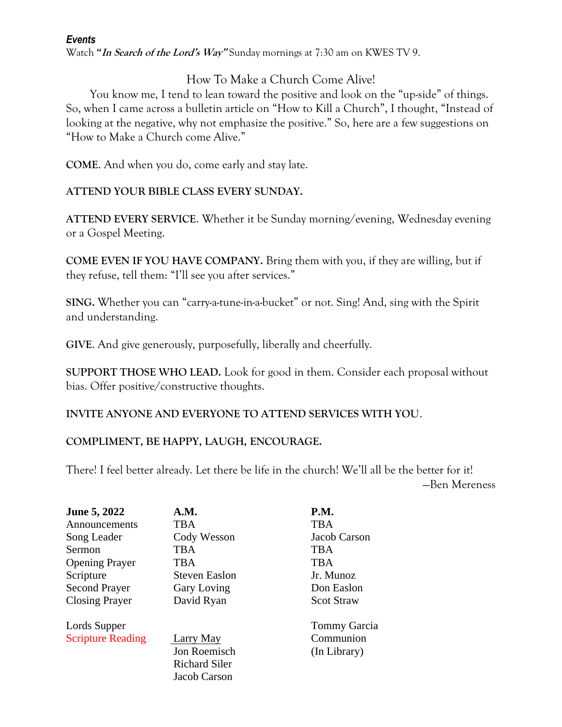#### *Events*

Watch **"In Search of the Lord's Way"** Sunday mornings at 7:30 am on KWES TV 9.

# How To Make a Church Come Alive!

 You know me, I tend to lean toward the positive and look on the "up-side" of things. So, when I came across a bulletin article on "How to Kill a Church", I thought, "Instead of looking at the negative, why not emphasize the positive." So, here are a few suggestions on "How to Make a Church come Alive."

**COME**. And when you do, come early and stay late.

## **ATTEND YOUR BIBLE CLASS EVERY SUNDAY.**

**ATTEND EVERY SERVICE**. Whether it be Sunday morning/evening, Wednesday evening or a Gospel Meeting.

**COME EVEN IF YOU HAVE COMPANY.** Bring them with you, if they are willing, but if they refuse, tell them: "I'll see you after services."

**SING.** Whether you can "carry-a-tune-in-a-bucket" or not. Sing! And, sing with the Spirit and understanding.

**GIVE**. And give generously, purposefully, liberally and cheerfully.

**SUPPORT THOSE WHO LEAD.** Look for good in them. Consider each proposal without bias. Offer positive/constructive thoughts.

**INVITE ANYONE AND EVERYONE TO ATTEND SERVICES WITH YOU**.

## **COMPLIMENT, BE HAPPY, LAUGH, ENCOURAGE.**

There! I feel better already. Let there be life in the church! We'll all be the better for it! —Ben Mereness

| <b>June 5, 2022</b>                      | A.M.                                                                     | <b>P.M.</b>                                      |
|------------------------------------------|--------------------------------------------------------------------------|--------------------------------------------------|
| Announcements                            | <b>TBA</b>                                                               | <b>TBA</b>                                       |
| Song Leader                              | Cody Wesson                                                              | Jacob Carson                                     |
| Sermon                                   | <b>TBA</b>                                                               | <b>TBA</b>                                       |
| <b>Opening Prayer</b>                    | <b>TBA</b>                                                               | <b>TBA</b>                                       |
| Scripture                                | <b>Steven Easlon</b>                                                     | Jr. Munoz                                        |
| <b>Second Prayer</b>                     | <b>Gary Loving</b>                                                       | Don Easlon                                       |
| <b>Closing Prayer</b>                    | David Ryan                                                               | <b>Scot Straw</b>                                |
| Lords Supper<br><b>Scripture Reading</b> | <b>Larry May</b><br>Jon Roemisch<br><b>Richard Siler</b><br>Jacob Carson | <b>Tommy Garcia</b><br>Communion<br>(In Library) |